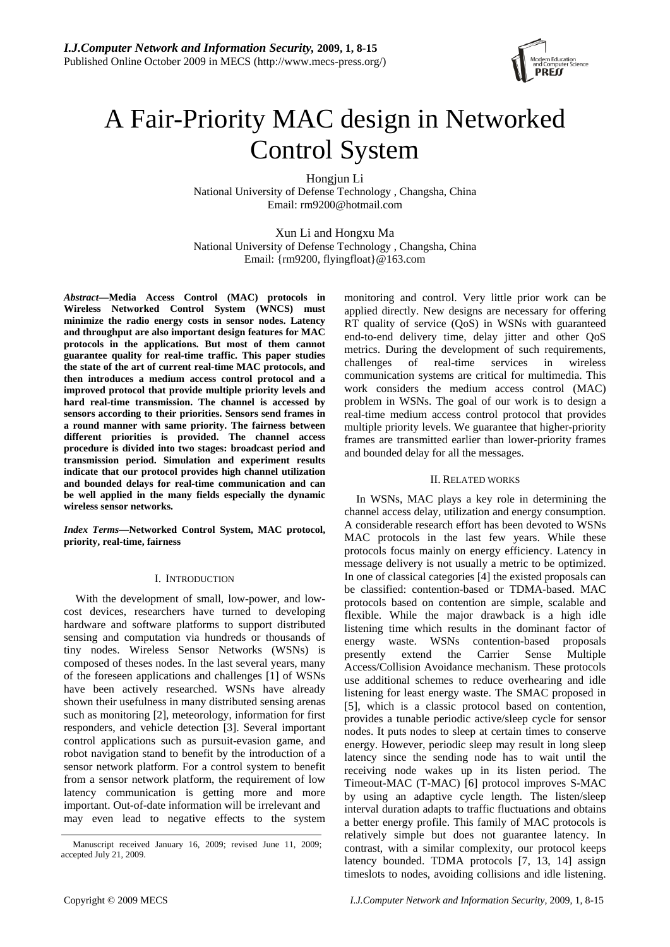

# A Fair-Priority MAC design in Networked Control System

Hongjun Li

National University of Defense Technology , Changsha, China Email: rm9200@hotmail.com

Xun Li and Hongxu Ma National University of Defense Technology , Changsha, China Email: {rm9200, flyingfloat}@163.com

*Abstract***—Media Access Control (MAC) protocols in Wireless Networked Control System (WNCS) must minimize the radio energy costs in sensor nodes. Latency and throughput are also important design features for MAC protocols in the applications. But most of them cannot guarantee quality for real-time traffic. This paper studies the state of the art of current real-time MAC protocols, and then introduces a medium access control protocol and a improved protocol that provide multiple priority levels and hard real-time transmission. The channel is accessed by sensors according to their priorities. Sensors send frames in a round manner with same priority. The fairness between different priorities is provided. The channel access procedure is divided into two stages: broadcast period and transmission period. Simulation and experiment results indicate that our protocol provides high channel utilization and bounded delays for real-time communication and can be well applied in the many fields especially the dynamic wireless sensor networks.** 

*Index Terms***—Networked Control System, MAC protocol, priority, real-time, fairness** 

# I. INTRODUCTION

With the development of small, low-power, and lowcost devices, researchers have turned to developing hardware and software platforms to support distributed sensing and computation via hundreds or thousands of tiny nodes. Wireless Sensor Networks (WSNs) is composed of theses nodes. In the last several years, many of the foreseen applications and challenges [1] of WSNs have been actively researched. WSNs have already shown their usefulness in many distributed sensing arenas such as monitoring [2], meteorology, information for first responders, and vehicle detection [3]. Several important control applications such as pursuit-evasion game, and robot navigation stand to benefit by the introduction of a sensor network platform. For a control system to benefit from a sensor network platform, the requirement of low latency communication is getting more and more important. Out-of-date information will be irrelevant and may even lead to negative effects to the system monitoring and control. Very little prior work can be applied directly. New designs are necessary for offering RT quality of service (QoS) in WSNs with guaranteed end-to-end delivery time, delay jitter and other QoS metrics. During the development of such requirements, challenges of real-time services in wireless communication systems are critical for multimedia. This work considers the medium access control (MAC) problem in WSNs. The goal of our work is to design a real-time medium access control protocol that provides multiple priority levels. We guarantee that higher-priority frames are transmitted earlier than lower-priority frames and bounded delay for all the messages.

# II. RELATED WORKS

In WSNs, MAC plays a key role in determining the channel access delay, utilization and energy consumption. A considerable research effort has been devoted to WSNs MAC protocols in the last few years. While these protocols focus mainly on energy efficiency. Latency in message delivery is not usually a metric to be optimized. In one of classical categories [4] the existed proposals can be classified: contention-based or TDMA-based. MAC protocols based on contention are simple, scalable and flexible. While the major drawback is a high idle listening time which results in the dominant factor of energy waste. WSNs contention-based proposals presently extend the Carrier Sense Multiple Access/Collision Avoidance mechanism. These protocols use additional schemes to reduce overhearing and idle listening for least energy waste. The SMAC proposed in [5], which is a classic protocol based on contention, provides a tunable periodic active/sleep cycle for sensor nodes. It puts nodes to sleep at certain times to conserve energy. However, periodic sleep may result in long sleep latency since the sending node has to wait until the receiving node wakes up in its listen period. The Timeout-MAC (T-MAC) [6] protocol improves S-MAC by using an adaptive cycle length. The listen/sleep interval duration adapts to traffic fluctuations and obtains a better energy profile. This family of MAC protocols is relatively simple but does not guarantee latency. In contrast, with a similar complexity, our protocol keeps latency bounded. TDMA protocols [7, 13, 14] assign timeslots to nodes, avoiding collisions and idle listening.

Manuscript received January 16, 2009; revised June 11, 2009; accepted July 21, 2009.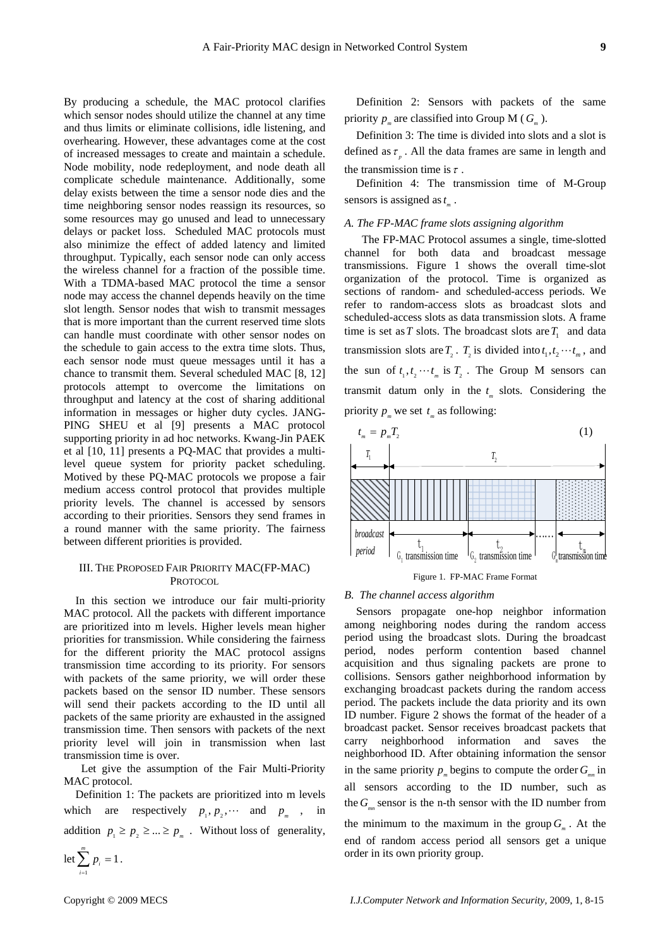By producing a schedule, the MAC protocol clarifies which sensor nodes should utilize the channel at any time and thus limits or eliminate collisions, idle listening, and overhearing. However, these advantages come at the cost of increased messages to create and maintain a schedule. Node mobility, node redeployment, and node death all complicate schedule maintenance. Additionally, some delay exists between the time a sensor node dies and the time neighboring sensor nodes reassign its resources, so some resources may go unused and lead to unnecessary delays or packet loss. Scheduled MAC protocols must also minimize the effect of added latency and limited throughput. Typically, each sensor node can only access the wireless channel for a fraction of the possible time. With a TDMA-based MAC protocol the time a sensor node may access the channel depends heavily on the time slot length. Sensor nodes that wish to transmit messages that is more important than the current reserved time slots can handle must coordinate with other sensor nodes on the schedule to gain access to the extra time slots. Thus, each sensor node must queue messages until it has a chance to transmit them. Several scheduled MAC [8, 12] protocols attempt to overcome the limitations on throughput and latency at the cost of sharing additional information in messages or higher duty cycles. JANG-PING SHEU et al [9] presents a MAC protocol supporting priority in ad hoc networks. Kwang-Jin PAEK et al [10, 11] presents a PQ-MAC that provides a multilevel queue system for priority packet scheduling. Motived by these PQ-MAC protocols we propose a fair medium access control protocol that provides multiple priority levels. The channel is accessed by sensors according to their priorities. Sensors they send frames in a round manner with the same priority. The fairness between different priorities is provided.

# III. THE PROPOSED FAIR PRIORITY MAC(FP-MAC) PROTOCOL

In this section we introduce our fair multi-priority MAC protocol. All the packets with different importance are prioritized into m levels. Higher levels mean higher priorities for transmission. While considering the fairness for the different priority the MAC protocol assigns transmission time according to its priority. For sensors with packets of the same priority, we will order these packets based on the sensor ID number. These sensors will send their packets according to the ID until all packets of the same priority are exhausted in the assigned transmission time. Then sensors with packets of the next priority level will join in transmission when last transmission time is over.

 Let give the assumption of the Fair Multi-Priority MAC protocol.

Definition 1: The packets are prioritized into m levels which are respectively  $p_1, p_2, \cdots$  and  $p_m$ , in addition  $p_1 \geq p_2 \geq ... \geq p_m$ . Without loss of generality,

$$
\det \sum_{i=1}^m p_i = 1.
$$

Definition 2: Sensors with packets of the same priority  $p_{\perp}$  are classified into Group M ( $G_{\perp}$ ).

Definition 3: The time is divided into slots and a slot is defined as  $\tau_{n}$ . All the data frames are same in length and the transmission time is  $\tau$ .

Definition 4: The transmission time of M-Group sensors is assigned as  $t_m$ .

### *A. The FP-MAC frame slots assigning algorithm*

 The FP-MAC Protocol assumes a single, time-slotted channel for both data and broadcast message transmissions. Figure 1 shows the overall time-slot organization of the protocol. Time is organized as sections of random- and scheduled-access periods. We refer to random-access slots as broadcast slots and scheduled-access slots as data transmission slots. A frame time is set as *T* slots. The broadcast slots are  $T_1$  and data transmission slots are  $T_1$ .  $T_2$  is divided into  $t_1, t_2 \cdots t_m$ , and the sun of  $t_1, t_2, \dots, t_m$  is  $T_2$ . The Group M sensors can transmit datum only in the  $t_m$  slots. Considering the priority  $p_m$  we set  $t_m$  as following:



## *B. The channel access algorithm*

Sensors propagate one-hop neighbor information among neighboring nodes during the random access period using the broadcast slots. During the broadcast period, nodes perform contention based channel acquisition and thus signaling packets are prone to collisions. Sensors gather neighborhood information by exchanging broadcast packets during the random access period. The packets include the data priority and its own ID number. Figure 2 shows the format of the header of a broadcast packet. Sensor receives broadcast packets that carry neighborhood information and saves the neighborhood ID. After obtaining information the sensor in the same priority  $p_{\perp}$  begins to compute the order  $G_{\perp}$  in all sensors according to the ID number, such as the  $G_{\text{max}}$  sensor is the n-th sensor with the ID number from the minimum to the maximum in the group  $G<sub>m</sub>$ . At the end of random access period all sensors get a unique order in its own priority group.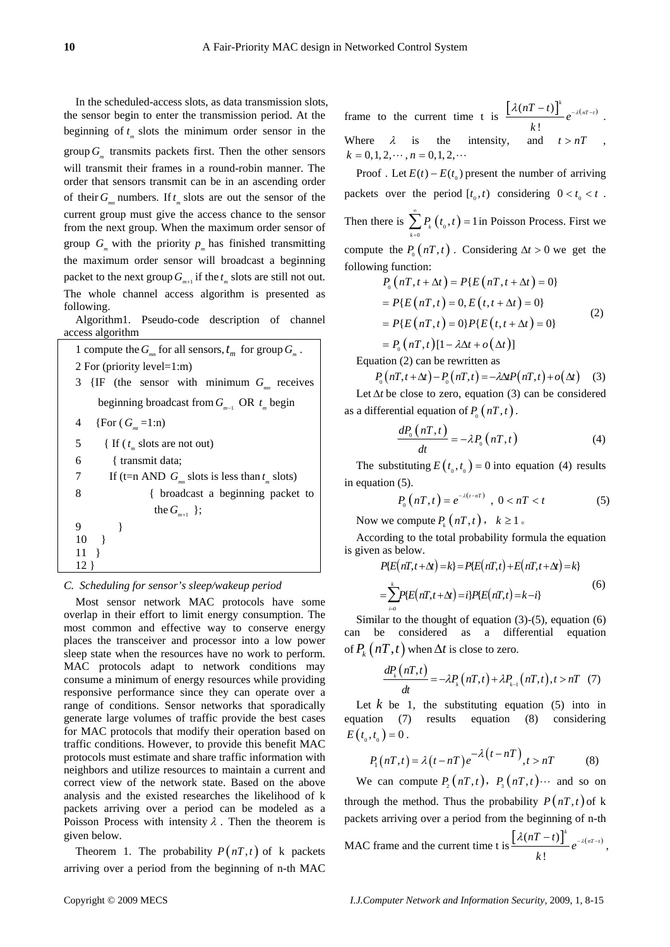In the scheduled-access slots, as data transmission slots, the sensor begin to enter the transmission period. At the beginning of  $t_m$  slots the minimum order sensor in the group  $G_{\mu}$  transmits packets first. Then the other sensors will transmit their frames in a round-robin manner. The order that sensors transmit can be in an ascending order of their  $G_{mn}$  numbers. If  $t_m$  slots are out the sensor of the current group must give the access chance to the sensor from the next group. When the maximum order sensor of group  $G_m$  with the priority  $p_m$  has finished transmitting the maximum order sensor will broadcast a beginning packet to the next group  $G_{m+1}$  if the  $t_m$  slots are still not out. The whole channel access algorithm is presented as following.

Algorithm1. Pseudo-code description of channel access algorithm

1 compute the  $G_{m}$  for all sensors,  $t_m$  for group  $G_{m}$ . 2 For (priority level=1:m) 3  $\{IF \text{ (the sensor with minimum } G_{mn} \text{ receives } \}$ beginning broadcast from  $G_{m-1}$  OR  $t_m$  begin 4  $\{For (G_m=1:n)\}$ 5 { If  $(t_m$  slots are not out) 6 { transmit data; 7 If (t=n AND  $G_{mn}$  slots is less than  $t_m$  slots) 8 { broadcast a beginning packet to the  $G_{m+1}$  }; 9 } 10 } 11 } 12 }

# *C. Scheduling for sensor's sleep/wakeup period*

Most sensor network MAC protocols have some overlap in their effort to limit energy consumption. The most common and effective way to conserve energy places the transceiver and processor into a low power sleep state when the resources have no work to perform. MAC protocols adapt to network conditions may consume a minimum of energy resources while providing responsive performance since they can operate over a range of conditions. Sensor networks that sporadically generate large volumes of traffic provide the best cases for MAC protocols that modify their operation based on traffic conditions. However, to provide this benefit MAC protocols must estimate and share traffic information with neighbors and utilize resources to maintain a current and correct view of the network state. Based on the above analysis and the existed researches the likelihood of k packets arriving over a period can be modeled as a Poisson Process with intensity  $\lambda$ . Then the theorem is given below.

Theorem 1. The probability  $P(nT, t)$  of k packets arriving over a period from the beginning of n-th MAC

frame to the current time t is  $\left[ \lambda (nT - t) \right]^{k} e^{-\lambda (nT - t)}$ !  $\left[ nT - t \right]$ <sup>k</sup>  $e^{-\lambda (nT - t)}$ *k*  $\frac{\lambda(nT-t)}{2}e^{-\lambda(nT-t)}$ . Where  $\lambda$  is the intensity, and  $t > nT$  $k = 0, 1, 2, \dots, n = 0, 1, 2, \dots$ 

Proof . Let  $E(t) - E(t_0)$  present the number of arriving packets over the period  $[t_0, t)$  considering  $0 < t_0 < t$ . Then there is  $\sum_{k=0} P_k(t_0, t) = 1$  $\sum_{i=1}^{\infty} P_i(t_0, t)$  $\sum_{k=0} P_k(t_0, t) = 1$  in Poisson Process. First we compute the  $P_0(nT, t)$ . Considering  $\Delta t > 0$  we get the following function:

$$
P_0 (nT, t + \Delta t) = P\{E (nT, t + \Delta t) = 0\}
$$
  
=  $P\{E (nT, t) = 0, E (t, t + \Delta t) = 0\}$   
=  $P\{E (nT, t) = 0\} P\{E (t, t + \Delta t) = 0\}$  (2)

 $= P_{0}(nT,t)[1 - \lambda \Delta t + o(\Delta t)]$ 

Equation (2) can be rewritten as

$$
P_0(nT, t + \Delta t) - P_0(nT, t) = -\lambda \Delta t P(nT, t) + o(\Delta t)
$$
 (3)

Let  $\Delta t$  be close to zero, equation (3) can be considered as a differential equation of  $P_{0}(nT, t)$ .

$$
\frac{dP_0(nT,t)}{dt} = -\lambda P_0(nT,t)
$$
\n(4)

The substituting  $E(t_0, t_0) = 0$  into equation (4) results in equation (5).

$$
P_{0}(nT,t) = e^{-\lambda(t-nT)} , \ 0 < nT < t \tag{5}
$$

Now we compute  $P_k(nT, t)$ ,  $k \ge 1$ .

According to the total probability formula the equation is given as below.

$$
P\{E(nT,t+\Delta t) = k\} = P\{E(nT,t) + E(nT,t+\Delta t) = k\}
$$
  
= 
$$
\sum_{i=0}^{k} P\{E(nT,t+\Delta t) = i\} P\{E(nT,t) = k - i\}
$$
 (6)

Similar to the thought of equation (3)-(5), equation (6) can be considered as a differential equation of  $P_k(nT, t)$  when  $\Delta t$  is close to zero.

$$
\frac{dP_k(nT,t)}{dt} = -\lambda P_k(nT,t) + \lambda P_{k-1}(nT,t), t > nT \quad (7)
$$

Let  $k$  be 1, the substituting equation  $(5)$  into in equation (7) results equation (8) considering  $E(t_{0}, t_{0}) = 0$ .

$$
P_1(nT,t) = \lambda(t - nT)e^{-\lambda(t - nT)}, t > nT
$$
 (8)

We can compute  $P_1(nT, t)$ ,  $P_2(nT, t)$  and so on through the method. Thus the probability  $P(nT, t)$  of k packets arriving over a period from the beginning of n-th MAC frame and the current time t is  $\left[ \lambda (nT-t) \right]^k e^{-\lambda (nT-t)}$ !  $\left[ nT - t \right]$ <sup>k</sup>  $e^{-\lambda (nT - t)}$ *k*  $\frac{\lambda(nT-t)^{\alpha}}{e^{-\lambda(nT-t)}}$ ,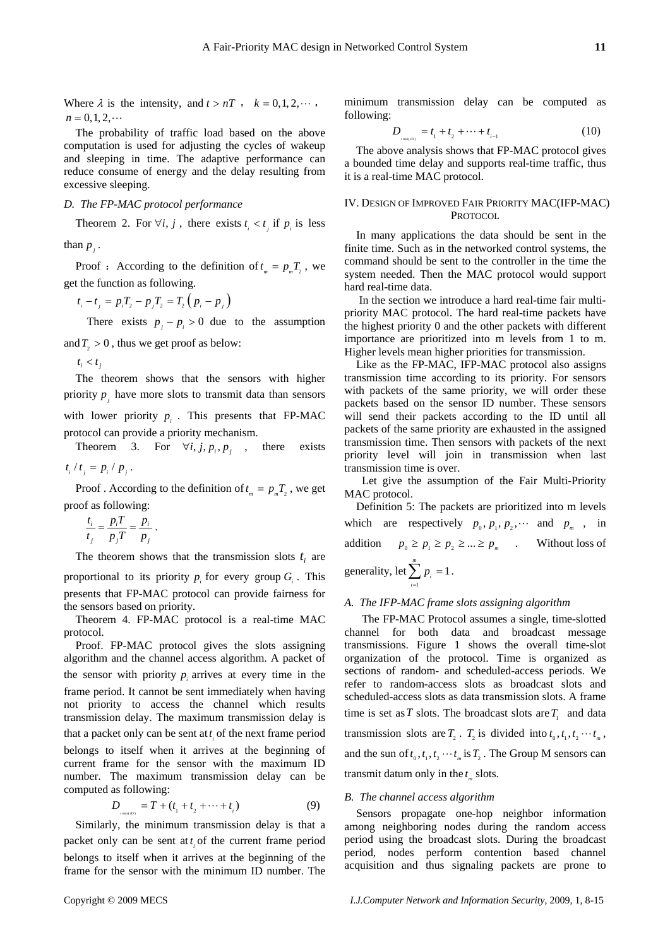Where  $\lambda$  is the intensity, and  $t > nT$ ,  $k = 0, 1, 2, \dots$ ,  $n = 0, 1, 2, \dots$ 

The probability of traffic load based on the above computation is used for adjusting the cycles of wakeup and sleeping in time. The adaptive performance can reduce consume of energy and the delay resulting from excessive sleeping.

## *D. The FP-MAC protocol performance*

Theorem 2. For  $\forall i, j$ , there exists  $t_i < t_j$  if  $p_j$  is less

than  $p_i$ .

Proof : According to the definition of  $t = pT$ , we get the function as following.

 $t_i - t_j = p_i T_j - p_j T_j = T_j (p_i - p_j)$ 

There exists  $p_i - p_i > 0$  due to the assumption

and  $T_{2} > 0$ , thus we get proof as below:

 $t_i < t_j$ 

The theorem shows that the sensors with higher priority  $p_i$  have more slots to transmit data than sensors with lower priority  $p_i$ . This presents that FP-MAC protocol can provide a priority mechanism.

Theorem 3. For  $\forall i, j, p_i, p_j$ , there exists  $t_i / t_j = p_i / p_j$ .

Proof . According to the definition of  $t_{m} = p_{m}T_{2}$ , we get proof as following:

$$
\frac{t_i}{t_j} = \frac{p_i T}{p_j T} = \frac{p_i}{p_j}.
$$

The theorem shows that the transmission slots  $t_i$  are proportional to its priority  $p_i$  for every group  $G_i$ . This

presents that FP-MAC protocol can provide fairness for the sensors based on priority.

Theorem 4. FP-MAC protocol is a real-time MAC protocol.

Proof. FP-MAC protocol gives the slots assigning algorithm and the channel access algorithm. A packet of the sensor with priority  $p$  arrives at every time in the frame period. It cannot be sent immediately when having not priority to access the channel which results transmission delay. The maximum transmission delay is that a packet only can be sent at  $t_i$  of the next frame period belongs to itself when it arrives at the beginning of current frame for the sensor with the maximum ID number. The maximum transmission delay can be computed as following:

$$
D_{\text{max}(B)} = T + (t_1 + t_2 + \dots + t_i)
$$
 (9)

Similarly, the minimum transmission delay is that a packet only can be sent at  $t_i$  of the current frame period belongs to itself when it arrives at the beginning of the frame for the sensor with the minimum ID number. The

minimum transmission delay can be computed as following:

$$
D_{\text{max}(D)} = t_1 + t_2 + \dots + t_{i-1} \tag{10}
$$

The above analysis shows that FP-MAC protocol gives a bounded time delay and supports real-time traffic, thus it is a real-time MAC protocol.

# IV. DESIGN OF IMPROVED FAIR PRIORITY MAC(IFP-MAC) PROTOCOL

In many applications the data should be sent in the finite time. Such as in the networked control systems, the command should be sent to the controller in the time the system needed. Then the MAC protocol would support hard real-time data.

 In the section we introduce a hard real-time fair multipriority MAC protocol. The hard real-time packets have the highest priority 0 and the other packets with different importance are prioritized into m levels from 1 to m. Higher levels mean higher priorities for transmission.

Like as the FP-MAC, IFP-MAC protocol also assigns transmission time according to its priority. For sensors with packets of the same priority, we will order these packets based on the sensor ID number. These sensors will send their packets according to the ID until all packets of the same priority are exhausted in the assigned transmission time. Then sensors with packets of the next priority level will join in transmission when last transmission time is over.

 Let give the assumption of the Fair Multi-Priority MAC protocol.

Definition 5: The packets are prioritized into m levels which are respectively  $p_0, p_1, p_2, \cdots$  and  $p_m$ , in addition  $p_0 \geq p_1 \geq p_2 \geq ... \geq p_m$  Without loss of generality, let 1  $\sum_{i=1}^{m} p_i = 1$  $\sum_{i=1}^{\infty} P_i$ *p*  $\sum_{i=1} P_i = 1$ .

# *A. The IFP-MAC frame slots assigning algorithm*

 The FP-MAC Protocol assumes a single, time-slotted channel for both data and broadcast message transmissions. Figure 1 shows the overall time-slot organization of the protocol. Time is organized as sections of random- and scheduled-access periods. We refer to random-access slots as broadcast slots and scheduled-access slots as data transmission slots. A frame time is set as  $T$  slots. The broadcast slots are  $T<sub>i</sub>$  and data transmission slots are  $T_1$ .  $T_2$  is divided into  $t_0, t_1, t_2, \dots, t_m$ , and the sun of  $t_0, t_1, t_2 \cdots t_m$  is  $T_2$ . The Group M sensors can transmit datum only in the  $t_m$  slots.

## *B. The channel access algorithm*

Sensors propagate one-hop neighbor information among neighboring nodes during the random access period using the broadcast slots. During the broadcast period, nodes perform contention based channel acquisition and thus signaling packets are prone to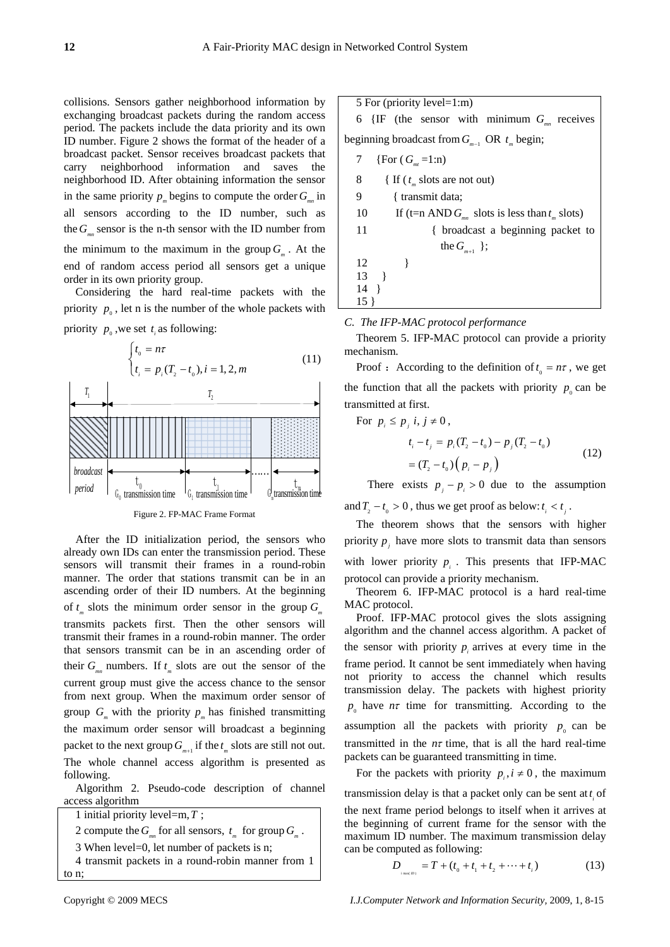collisions. Sensors gather neighborhood information by exchanging broadcast packets during the random access period. The packets include the data priority and its own ID number. Figure 2 shows the format of the header of a broadcast packet. Sensor receives broadcast packets that carry neighborhood information and saves the neighborhood ID. After obtaining information the sensor in the same priority  $p_{\mu}$  begins to compute the order  $G_{\mu}$  in all sensors according to the ID number, such as the  $G_{\mathbb{R}}$  sensor is the n-th sensor with the ID number from the minimum to the maximum in the group  $G<sub>m</sub>$ . At the end of random access period all sensors get a unique order in its own priority group.

Considering the hard real-time packets with the priority  $p_{0}$ , let n is the number of the whole packets with priority  $p_0$ , we set  $t_i$  as following:



Figure 2. FP-MAC Frame Format

After the ID initialization period, the sensors who already own IDs can enter the transmission period. These sensors will transmit their frames in a round-robin manner. The order that stations transmit can be in an ascending order of their ID numbers. At the beginning of  $t_m$  slots the minimum order sensor in the group  $G_m$ transmits packets first. Then the other sensors will transmit their frames in a round-robin manner. The order that sensors transmit can be in an ascending order of their  $G_{mn}$  numbers. If  $t_m$  slots are out the sensor of the current group must give the access chance to the sensor from next group. When the maximum order sensor of group  $G_m$  with the priority  $p_m$  has finished transmitting the maximum order sensor will broadcast a beginning packet to the next group  $G_{m+1}$  if the  $t_m$  slots are still not out. The whole channel access algorithm is presented as following.

Algorithm 2. Pseudo-code description of channel access algorithm



2 compute the  $G_{mn}$  for all sensors,  $t_m$  for group  $G_m$ .

3 When level=0, let number of packets is n;

4 transmit packets in a round-robin manner from 1

to n;

5 For (priority level=1:m)  
\n6 {IF (the sensor with minimum 
$$
G_{mn}
$$
 receives  
\nbeginning broadcast from  $G_{m-1}$  OR  $t_m$  begin;  
\n7 {For  $(G_{mn} = 1:n)$   
\n8 {If  $(t_m$  slots are not out)  
\n9 { transmit data;  
\n10 If (t=n AND  $G_{mn}$  slots is less than  $t_m$  slots)  
\n11 { broadcast a beginning packet to  
\n11 the  $G_{m+1}$  };  
\n12 }\n13 )

*C. The IFP-MAC protocol performance* 

Theorem 5. IFP-MAC protocol can provide a priority mechanism.

Proof : According to the definition of  $t_0 = n\tau$ , we get the function that all the packets with priority  $p_0$  can be transmitted at first.

For  $p_i \leq p_i$  *i*,  $j \neq 0$ ,

14 } 15 }

$$
t_i - t_j = p_i (T_2 - t_0) - p_j (T_2 - t_0)
$$
  
=  $(T_2 - t_0) (p_i - p_j)$  (12)

There exists  $p_i - p_i > 0$  due to the assumption and  $T_1 - t_0 > 0$ , thus we get proof as below:  $t_i < t_1$ .

The theorem shows that the sensors with higher priority  $p_i$  have more slots to transmit data than sensors with lower priority  $p_i$ . This presents that IFP-MAC protocol can provide a priority mechanism.

Theorem 6. IFP-MAC protocol is a hard real-time MAC protocol.

Proof. IFP-MAC protocol gives the slots assigning algorithm and the channel access algorithm. A packet of the sensor with priority  $p_i$  arrives at every time in the frame period. It cannot be sent immediately when having not priority to access the channel which results transmission delay. The packets with highest priority  $p_0$  have  $n\tau$  time for transmitting. According to the assumption all the packets with priority  $p_0$  can be transmitted in the  $n\tau$  time, that is all the hard real-time packets can be guaranteed transmitting in time.

For the packets with priority  $p_i, i \neq 0$ , the maximum transmission delay is that a packet only can be sent at  $t_i$  of the next frame period belongs to itself when it arrives at the beginning of current frame for the sensor with the maximum ID number. The maximum transmission delay can be computed as following:

$$
D_{\text{max}(D)} = T + (t_0 + t_1 + t_2 + \dots + t_i)
$$
 (13)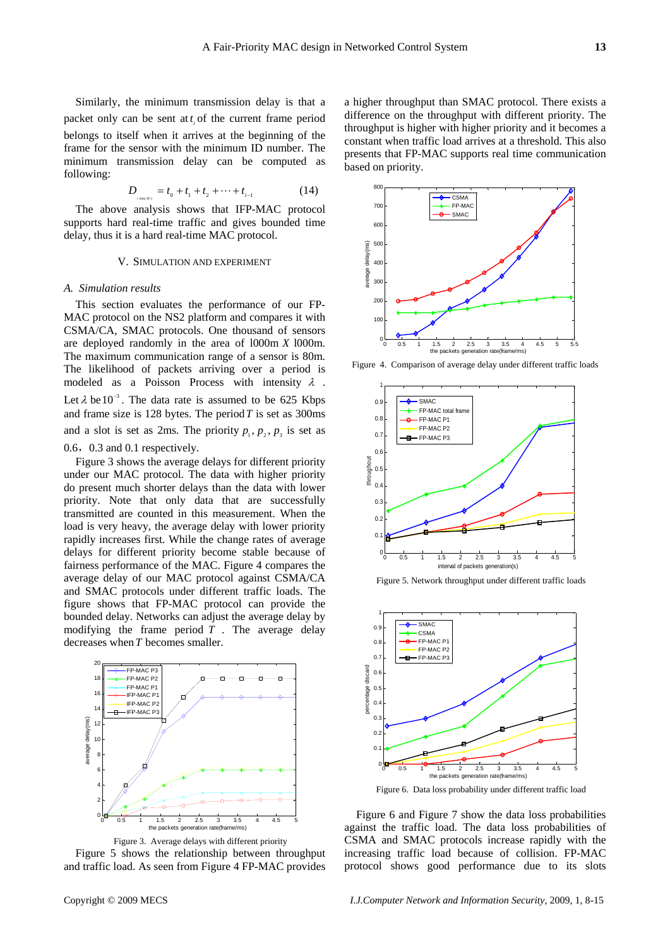$$
D_{\text{min}(B)} = t_0 + t_1 + t_2 + \dots + t_{i-1} \tag{14}
$$

The above analysis shows that IFP-MAC protocol supports hard real-time traffic and gives bounded time delay, thus it is a hard real-time MAC protocol.

#### V. SIMULATION AND EXPERIMENT

# *A. Simulation results*

This section evaluates the performance of our FP-MAC protocol on the NS2 platform and compares it with CSMA/CA, SMAC protocols. One thousand of sensors are deployed randomly in the area of l000m *X* l000m. The maximum communication range of a sensor is 80m. The likelihood of packets arriving over a period is modeled as a Poisson Process with intensity  $\lambda$ . Let  $\lambda$  be 10<sup>-3</sup>. The data rate is assumed to be 625 Kbps and frame size is 128 bytes. The period*T* is set as 300ms and a slot is set as 2ms. The priority  $p_1, p_2, p_3$  is set as 0.6,0.3 and 0.1 respectively.

Figure 3 shows the average delays for different priority under our MAC protocol. The data with higher priority do present much shorter delays than the data with lower priority. Note that only data that are successfully transmitted are counted in this measurement. When the load is very heavy, the average delay with lower priority rapidly increases first. While the change rates of average delays for different priority become stable because of fairness performance of the MAC. Figure 4 compares the average delay of our MAC protocol against CSMA/CA and SMAC protocols under different traffic loads. The figure shows that FP-MAC protocol can provide the bounded delay. Networks can adjust the average delay by modifying the frame period  $\overline{T}$ . The average delay decreases when*T* becomes smaller.



Figure 3. Average delays with different priority Figure 5 shows the relationship between throughput and traffic load. As seen from Figure 4 FP-MAC provides

a higher throughput than SMAC protocol. There exists a difference on the throughput with different priority. The throughput is higher with higher priority and it becomes a constant when traffic load arrives at a threshold. This also presents that FP-MAC supports real time communication based on priority.



Figure 4. Comparison of average delay under different traffic loads



Figure 5. Network throughput under different traffic loads



Figure 6. Data loss probability under different traffic load

Figure 6 and Figure 7 show the data loss probabilities against the traffic load. The data loss probabilities of CSMA and SMAC protocols increase rapidly with the increasing traffic load because of collision. FP-MAC protocol shows good performance due to its slots

Copyright © 2009 MECS *I.J.Computer Network and Information Security,* 2009, 1, 8-15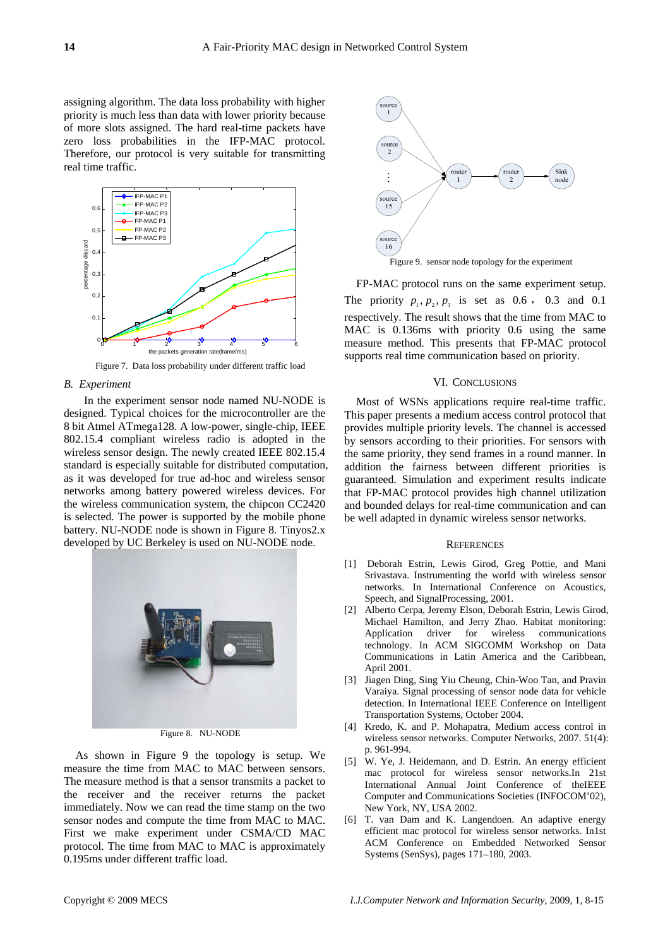assigning algorithm. The data loss probability with higher priority is much less than data with lower priority because of more slots assigned. The hard real-time packets have zero loss probabilities in the IFP-MAC protocol. Therefore, our protocol is very suitable for transmitting real time traffic.



Figure 7. Data loss probability under different traffic load

#### *B. Experiment*

 In the experiment sensor node named NU-NODE is designed. Typical choices for the microcontroller are the 8 bit Atmel ATmega128. A low-power, single-chip, IEEE 802.15.4 compliant wireless radio is adopted in the wireless sensor design. The newly created IEEE 802.15.4 standard is especially suitable for distributed computation, as it was developed for true ad-hoc and wireless sensor networks among battery powered wireless devices. For the wireless communication system, the chipcon CC2420 is selected. The power is supported by the mobile phone battery. NU-NODE node is shown in Figure 8. Tinyos2.x developed by UC Berkeley is used on NU-NODE node.



Figure 8. NU-NODE

As shown in Figure 9 the topology is setup. We measure the time from MAC to MAC between sensors. The measure method is that a sensor transmits a packet to the receiver and the receiver returns the packet immediately. Now we can read the time stamp on the two sensor nodes and compute the time from MAC to MAC. First we make experiment under CSMA/CD MAC protocol. The time from MAC to MAC is approximately 0.195ms under different traffic load.





FP-MAC protocol runs on the same experiment setup. The priority  $p_1, p_2, p_3$  is set as 0.6, 0.3 and 0.1 respectively. The result shows that the time from MAC to MAC is 0.136ms with priority 0.6 using the same measure method. This presents that FP-MAC protocol supports real time communication based on priority.

## VI. CONCLUSIONS

Most of WSNs applications require real-time traffic. This paper presents a medium access control protocol that provides multiple priority levels. The channel is accessed by sensors according to their priorities. For sensors with the same priority, they send frames in a round manner. In addition the fairness between different priorities is guaranteed. Simulation and experiment results indicate that FP-MAC protocol provides high channel utilization and bounded delays for real-time communication and can be well adapted in dynamic wireless sensor networks.

#### **REFERENCES**

- [1] Deborah Estrin, Lewis Girod, Greg Pottie, and Mani Srivastava. Instrumenting the world with wireless sensor networks. In International Conference on Acoustics, Speech, and SignalProcessing, 2001.
- [2] Alberto Cerpa, Jeremy Elson, Deborah Estrin, Lewis Girod, Michael Hamilton, and Jerry Zhao. Habitat monitoring: Application driver for wireless communications technology. In ACM SIGCOMM Workshop on Data Communications in Latin America and the Caribbean, April 2001.
- [3] Jiagen Ding, Sing Yiu Cheung, Chin-Woo Tan, and Pravin Varaiya. Signal processing of sensor node data for vehicle detection. In International IEEE Conference on Intelligent Transportation Systems, October 2004.
- [4] Kredo, K. and P. Mohapatra, Medium access control in wireless sensor networks. Computer Networks, 2007. 51(4): p. 961-994.
- [5] W. Ye, J. Heidemann, and D. Estrin. An energy efficient mac protocol for wireless sensor networks.In 21st International Annual Joint Conference of theIEEE Computer and Communications Societies (INFOCOM'02), New York, NY, USA 2002.
- [6] T. van Dam and K. Langendoen. An adaptive energy efficient mac protocol for wireless sensor networks. In1st ACM Conference on Embedded Networked Sensor Systems (SenSys), pages 171–180, 2003.